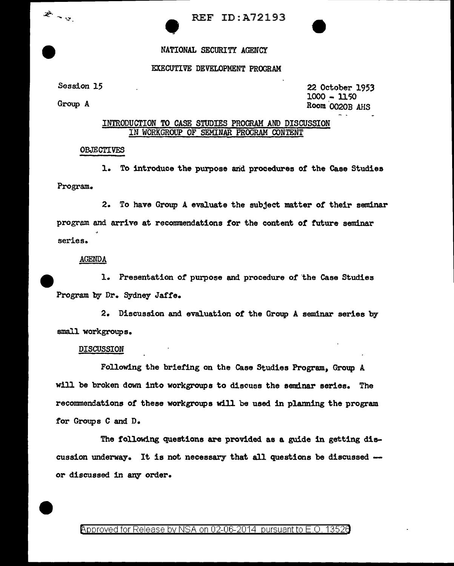REF ID:A72193



## EXECUTIVE DEVELOPMENT PROGRAM

Session 15

Group A

22 October 1953 1000 - 1150 Room <sup>0</sup> 0020B MIS

## INTRODUCTION TO CASE STUDIES PROGRAM AND DISCUSSION IN WORKGROUP OF SEMINAR PROGRAM CONTENT

## OBJECTIVES

1. To introduce the purpose arid procedures of the Case Studies Program.

2. To have Group A evaluate the subject matter of their seminar program and arrive at recommendations for the content of future seminar series.

AGENDA

1. Presentation of purpose and procedure of the Case Studies Program by Dr. Sydney Jafte.

2. Discussion and evaluation *ot* the Group A seminar series by small workgroups.

## DISCUSSION

Following the briefing on the Case studies Program, Group A will be broken down into workgroups to discuss the seminar series. The recommendations of these workgroups will be used in planning the program tor Groups C and D.

The tallowing questions are provided as a guide in getting discussion underway. It is not necessary that all questions be discussed -or discussed in any order.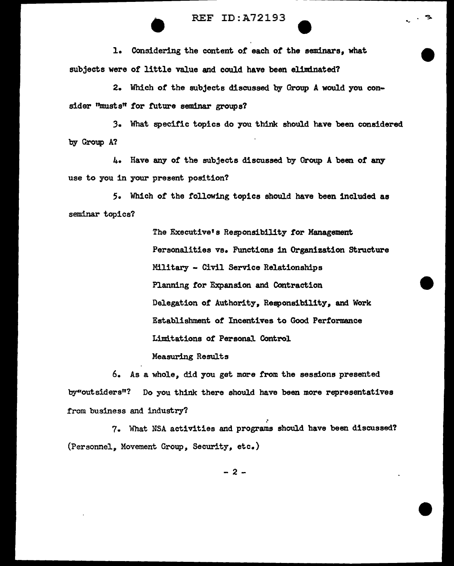REF ID:A72193<br>
1. Considering the content of each of the seminars, what subjects were of little value and could have been eliminated?

2. Which or the subjects discussed by Group A would you consider "musts" for future seminar groups?

,3. What specific topics do you think should have been considered by Group A?

4. Have any or the subjects discussed by Group A been of any use to you in your present position?

5. Which of the following topics should have been included as seminar topics?

> The Executive's Responsibility tor Management Personalities vs. Functions in Organization structure Military - Civil Service Relationships Planning for Expansion and Contraction Delegation of Authority, Responsibility, and Work Establishment or Incentives to Good Performance Limitations of Personal Control

Measuring Results

6. As a whole, did you get more from the sessions presented by"outsiders"? Do you think there should have been more representatives from business and industry?

7. What NSA activities and programs should have been discussed? (Personnel, Movement Group, Security, etc.)

 $-2 -$